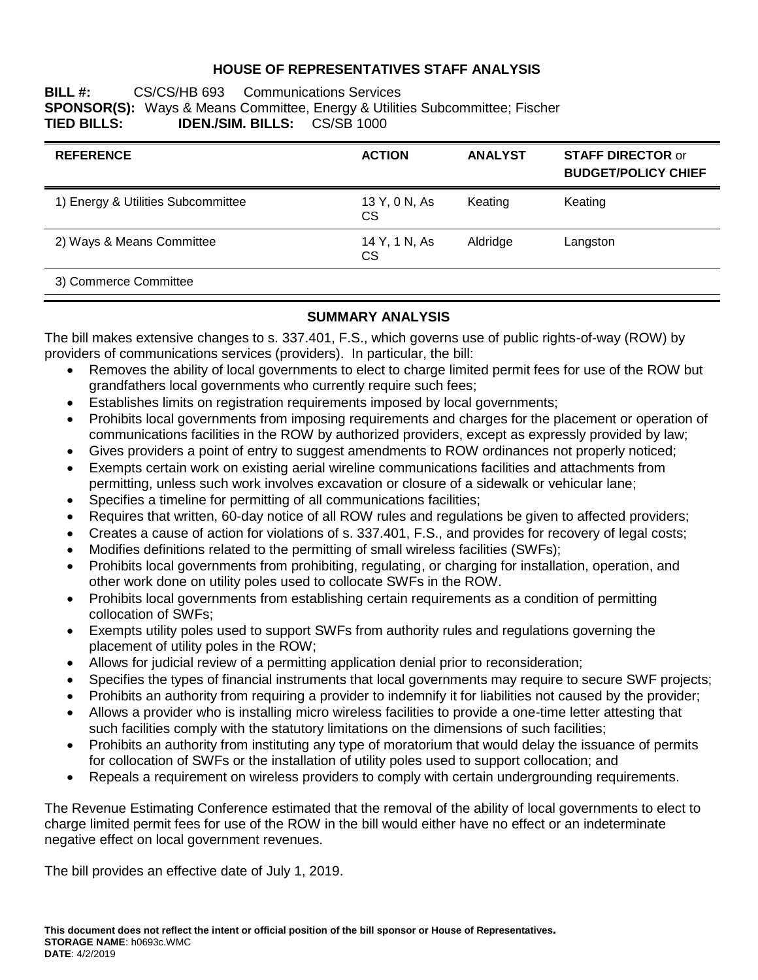### **HOUSE OF REPRESENTATIVES STAFF ANALYSIS**

**BILL #:** CS/CS/HB 693 Communications Services **SPONSOR(S):** Ways & Means Committee, Energy & Utilities Subcommittee; Fischer **TIED BILLS: IDEN./SIM. BILLS:** CS/SB 1000

| <b>REFERENCE</b>                   | <b>ACTION</b>       | <b>ANALYST</b> | <b>STAFF DIRECTOR or</b><br><b>BUDGET/POLICY CHIEF</b> |
|------------------------------------|---------------------|----------------|--------------------------------------------------------|
| 1) Energy & Utilities Subcommittee | 13 Y, 0 N, As<br>СS | Keating        | Keating                                                |
| 2) Ways & Means Committee          | 14 Y, 1 N, As<br>СS | Aldridge       | Langston                                               |
| 3) Commerce Committee              |                     |                |                                                        |

### **SUMMARY ANALYSIS**

The bill makes extensive changes to s. 337.401, F.S., which governs use of public rights-of-way (ROW) by providers of communications services (providers). In particular, the bill:

- Removes the ability of local governments to elect to charge limited permit fees for use of the ROW but grandfathers local governments who currently require such fees;
- Establishes limits on registration requirements imposed by local governments;
- Prohibits local governments from imposing requirements and charges for the placement or operation of communications facilities in the ROW by authorized providers, except as expressly provided by law;
- Gives providers a point of entry to suggest amendments to ROW ordinances not properly noticed;
- Exempts certain work on existing aerial wireline communications facilities and attachments from permitting, unless such work involves excavation or closure of a sidewalk or vehicular lane;
- Specifies a timeline for permitting of all communications facilities;
- Requires that written, 60-day notice of all ROW rules and regulations be given to affected providers;
- Creates a cause of action for violations of s. 337.401, F.S., and provides for recovery of legal costs;
- Modifies definitions related to the permitting of small wireless facilities (SWFs);
- Prohibits local governments from prohibiting, regulating, or charging for installation, operation, and other work done on utility poles used to collocate SWFs in the ROW.
- Prohibits local governments from establishing certain requirements as a condition of permitting collocation of SWFs;
- Exempts utility poles used to support SWFs from authority rules and regulations governing the placement of utility poles in the ROW;
- Allows for judicial review of a permitting application denial prior to reconsideration;
- Specifies the types of financial instruments that local governments may require to secure SWF projects;
- Prohibits an authority from requiring a provider to indemnify it for liabilities not caused by the provider;
- Allows a provider who is installing micro wireless facilities to provide a one-time letter attesting that such facilities comply with the statutory limitations on the dimensions of such facilities;
- Prohibits an authority from instituting any type of moratorium that would delay the issuance of permits for collocation of SWFs or the installation of utility poles used to support collocation; and
- Repeals a requirement on wireless providers to comply with certain undergrounding requirements.

The Revenue Estimating Conference estimated that the removal of the ability of local governments to elect to charge limited permit fees for use of the ROW in the bill would either have no effect or an indeterminate negative effect on local government revenues.

The bill provides an effective date of July 1, 2019.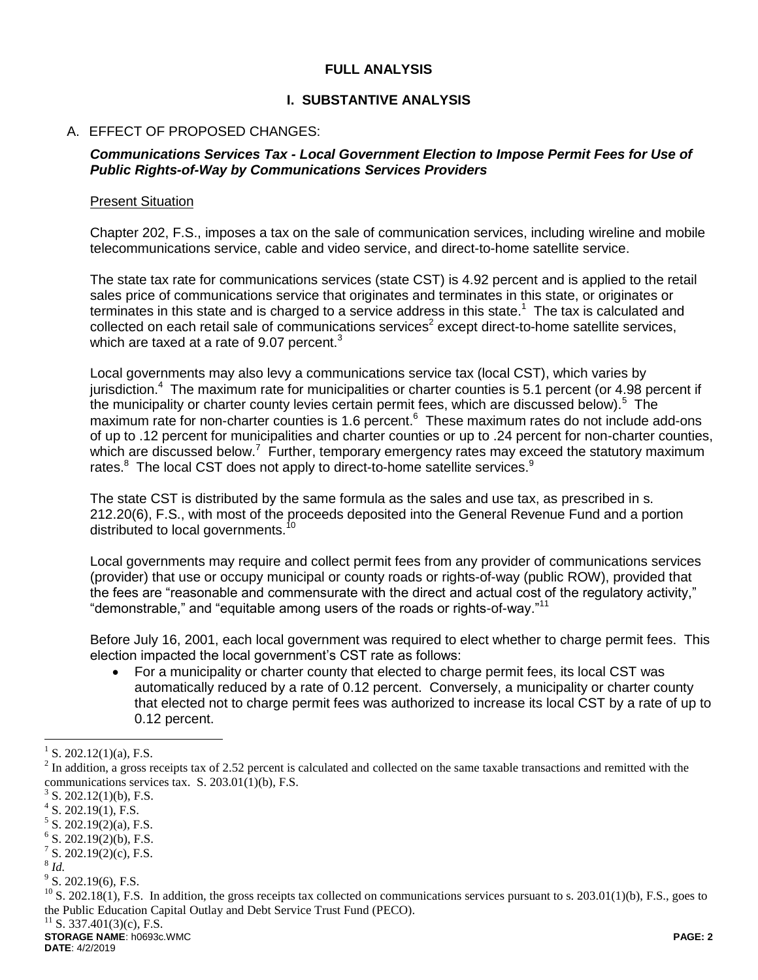### **FULL ANALYSIS**

### **I. SUBSTANTIVE ANALYSIS**

### A. EFFECT OF PROPOSED CHANGES:

#### *Communications Services Tax - Local Government Election to Impose Permit Fees for Use of Public Rights-of-Way by Communications Services Providers*

#### Present Situation

Chapter 202, F.S., imposes a tax on the sale of communication services, including wireline and mobile telecommunications service, cable and video service, and direct-to-home satellite service.

The state tax rate for communications services (state CST) is 4.92 percent and is applied to the retail sales price of communications service that originates and terminates in this state, or originates or terminates in this state and is charged to a service address in this state.<sup>1</sup> The tax is calculated and collected on each retail sale of communications services<sup>2</sup> except direct-to-home satellite services, which are taxed at a rate of 9.07 percent. $3$ 

Local governments may also levy a communications service tax (local CST), which varies by jurisdiction.<sup>4</sup> The maximum rate for municipalities or charter counties is 5.1 percent (or 4.98 percent if the municipality or charter county levies certain permit fees, which are discussed below).<sup>5</sup> The maximum rate for non-charter counties is 1.6 percent.<sup>6</sup> These maximum rates do not include add-ons of up to .12 percent for municipalities and charter counties or up to .24 percent for non-charter counties, which are discussed below.<sup>7</sup> Further, temporary emergency rates may exceed the statutory maximum rates.<sup>8</sup> The local CST does not apply to direct-to-home satellite services.<sup>9</sup>

The state CST is distributed by the same formula as the sales and use tax, as prescribed in s. 212.20(6), F.S., with most of the proceeds deposited into the General Revenue Fund and a portion distributed to local governments.<sup>10</sup>

Local governments may require and collect permit fees from any provider of communications services (provider) that use or occupy municipal or county roads or rights-of-way (public ROW), provided that the fees are "reasonable and commensurate with the direct and actual cost of the regulatory activity," "demonstrable," and "equitable among users of the roads or rights-of-way."<sup>11</sup>

Before July 16, 2001, each local government was required to elect whether to charge permit fees. This election impacted the local government's CST rate as follows:

 For a municipality or charter county that elected to charge permit fees, its local CST was automatically reduced by a rate of 0.12 percent. Conversely, a municipality or charter county that elected not to charge permit fees was authorized to increase its local CST by a rate of up to 0.12 percent.

 $\overline{a}$ 

<sup>&</sup>lt;sup>1</sup> S. 202.12(1)(a), F.S.

 $2^{2}$  In addition, a gross receipts tax of 2.52 percent is calculated and collected on the same taxable transactions and remitted with the communications services tax. S. 203.01(1)(b), F.S.

 $3$  S. 202.12(1)(b), F.S.

 $4$  S. 202.19(1), F.S.

 $5$  S. 202.19(2)(a), F.S.

 $6$  S. 202.19(2)(b), F.S.

 $7^7$  S. 202.19(2)(c), F.S.

<sup>8</sup> *Id.*

 $9^9$  S. 202.19(6), F.S.

 $^{10}$  S. 202.18(1), F.S. In addition, the gross receipts tax collected on communications services pursuant to s. 203.01(1)(b), F.S., goes to the Public Education Capital Outlay and Debt Service Trust Fund (PECO).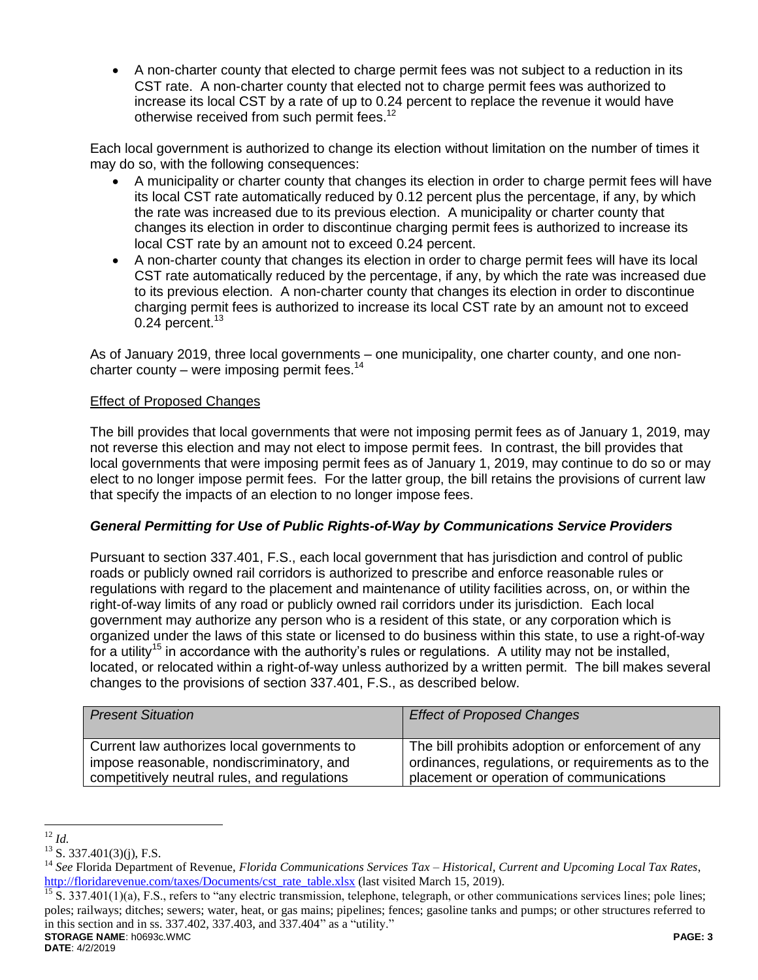A non-charter county that elected to charge permit fees was not subject to a reduction in its CST rate. A non-charter county that elected not to charge permit fees was authorized to increase its local CST by a rate of up to 0.24 percent to replace the revenue it would have otherwise received from such permit fees.<sup>12</sup>

Each local government is authorized to change its election without limitation on the number of times it may do so, with the following consequences:

- A municipality or charter county that changes its election in order to charge permit fees will have its local CST rate automatically reduced by 0.12 percent plus the percentage, if any, by which the rate was increased due to its previous election. A municipality or charter county that changes its election in order to discontinue charging permit fees is authorized to increase its local CST rate by an amount not to exceed 0.24 percent.
- A non-charter county that changes its election in order to charge permit fees will have its local CST rate automatically reduced by the percentage, if any, by which the rate was increased due to its previous election. A non-charter county that changes its election in order to discontinue charging permit fees is authorized to increase its local CST rate by an amount not to exceed  $0.24$  percent.<sup>13</sup>

As of January 2019, three local governments – one municipality, one charter county, and one noncharter county – were imposing permit fees.<sup>14</sup>

## Effect of Proposed Changes

The bill provides that local governments that were not imposing permit fees as of January 1, 2019, may not reverse this election and may not elect to impose permit fees. In contrast, the bill provides that local governments that were imposing permit fees as of January 1, 2019, may continue to do so or may elect to no longer impose permit fees. For the latter group, the bill retains the provisions of current law that specify the impacts of an election to no longer impose fees.

### *General Permitting for Use of Public Rights-of-Way by Communications Service Providers*

Pursuant to section 337.401, F.S., each local government that has jurisdiction and control of public roads or publicly owned rail corridors is authorized to prescribe and enforce reasonable rules or regulations with regard to the placement and maintenance of utility facilities across, on, or within the right-of-way limits of any road or publicly owned rail corridors under its jurisdiction. Each local government may authorize any person who is a resident of this state, or any corporation which is organized under the laws of this state or licensed to do business within this state, to use a right-of-way for a utility<sup>15</sup> in accordance with the authority's rules or regulations. A utility may not be installed, located, or relocated within a right-of-way unless authorized by a written permit. The bill makes several changes to the provisions of section 337.401, F.S., as described below.

| <b>Present Situation</b>                     | <b>Effect of Proposed Changes</b>                  |
|----------------------------------------------|----------------------------------------------------|
| Current law authorizes local governments to  | The bill prohibits adoption or enforcement of any  |
| impose reasonable, nondiscriminatory, and    | ordinances, regulations, or requirements as to the |
| competitively neutral rules, and regulations | placement or operation of communications           |

 $\overline{a}$ <sup>12</sup> *Id.*

 $13$  S. 337.401(3)(j), F.S.

<sup>14</sup> *See* Florida Department of Revenue, *Florida Communications Services Tax – Historical, Current and Upcoming Local Tax Rates*, [http://floridarevenue.com/taxes/Documents/cst\\_rate\\_table.xlsx](http://floridarevenue.com/taxes/Documents/cst_rate_table.xlsx) (last visited March 15, 2019).

**STORAGE NAME**: h0693c.WMC **PAGE: 3** <sup>15</sup> S. 337.401(1)(a), F.S., refers to "any electric transmission, telephone, telegraph, or other communications services lines; pole lines; poles; railways; ditches; sewers; water, heat, or gas mains; pipelines; fences; gasoline tanks and pumps; or other structures referred to in this section and in ss. 337.402, 337.403, and 337.404" as a "utility."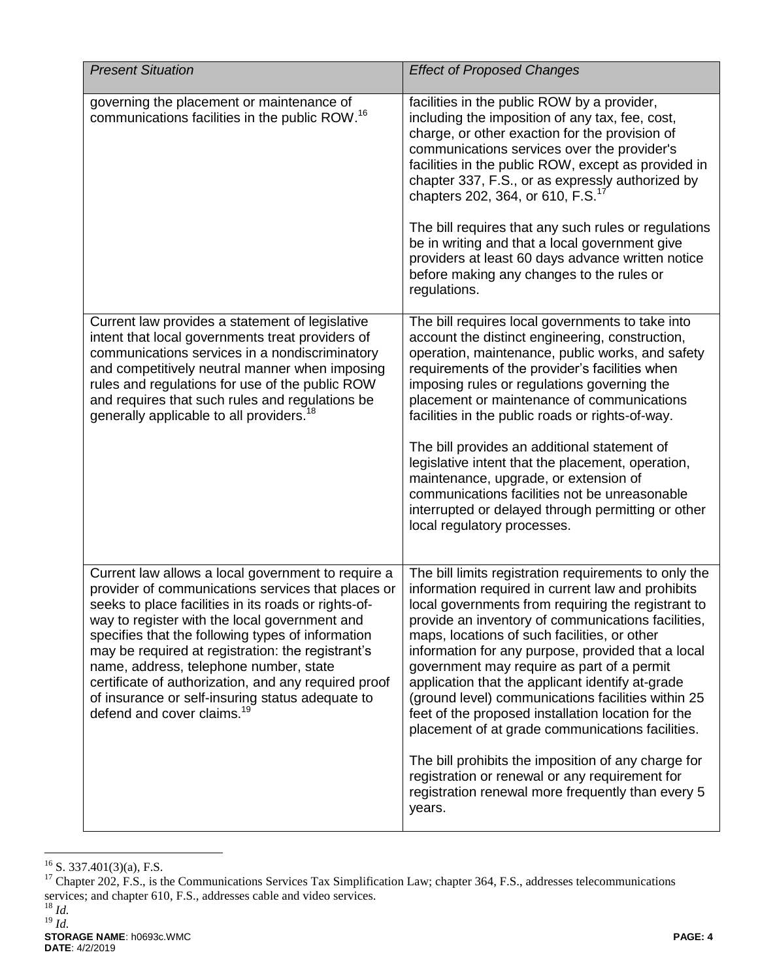| <b>Present Situation</b>                                                                                                                                                                                                                                                                                                                                                                                                                                                                                                    | <b>Effect of Proposed Changes</b>                                                                                                                                                                                                                                                                                                                                                                                                                                                                                                                                                                                                                                                                                                                                      |
|-----------------------------------------------------------------------------------------------------------------------------------------------------------------------------------------------------------------------------------------------------------------------------------------------------------------------------------------------------------------------------------------------------------------------------------------------------------------------------------------------------------------------------|------------------------------------------------------------------------------------------------------------------------------------------------------------------------------------------------------------------------------------------------------------------------------------------------------------------------------------------------------------------------------------------------------------------------------------------------------------------------------------------------------------------------------------------------------------------------------------------------------------------------------------------------------------------------------------------------------------------------------------------------------------------------|
| governing the placement or maintenance of<br>communications facilities in the public ROW. <sup>16</sup>                                                                                                                                                                                                                                                                                                                                                                                                                     | facilities in the public ROW by a provider,<br>including the imposition of any tax, fee, cost,<br>charge, or other exaction for the provision of<br>communications services over the provider's<br>facilities in the public ROW, except as provided in<br>chapter 337, F.S., or as expressly authorized by<br>chapters 202, 364, or 610, F.S. <sup>17</sup><br>The bill requires that any such rules or regulations<br>be in writing and that a local government give<br>providers at least 60 days advance written notice<br>before making any changes to the rules or<br>regulations.                                                                                                                                                                                |
| Current law provides a statement of legislative<br>intent that local governments treat providers of<br>communications services in a nondiscriminatory<br>and competitively neutral manner when imposing<br>rules and regulations for use of the public ROW<br>and requires that such rules and regulations be<br>generally applicable to all providers. <sup>18</sup>                                                                                                                                                       | The bill requires local governments to take into<br>account the distinct engineering, construction,<br>operation, maintenance, public works, and safety<br>requirements of the provider's facilities when<br>imposing rules or regulations governing the<br>placement or maintenance of communications<br>facilities in the public roads or rights-of-way.<br>The bill provides an additional statement of<br>legislative intent that the placement, operation,<br>maintenance, upgrade, or extension of<br>communications facilities not be unreasonable<br>interrupted or delayed through permitting or other<br>local regulatory processes.                                                                                                                         |
| Current law allows a local government to require a<br>provider of communications services that places or<br>seeks to place facilities in its roads or rights-of-<br>way to register with the local government and<br>specifies that the following types of information<br>may be required at registration: the registrant's<br>name, address, telephone number, state<br>certificate of authorization, and any required proof<br>of insurance or self-insuring status adequate to<br>defend and cover claims. <sup>19</sup> | The bill limits registration requirements to only the<br>information required in current law and prohibits<br>local governments from requiring the registrant to<br>provide an inventory of communications facilities,<br>maps, locations of such facilities, or other<br>information for any purpose, provided that a local<br>government may require as part of a permit<br>application that the applicant identify at-grade<br>(ground level) communications facilities within 25<br>feet of the proposed installation location for the<br>placement of at grade communications facilities.<br>The bill prohibits the imposition of any charge for<br>registration or renewal or any requirement for<br>registration renewal more frequently than every 5<br>years. |

 $\overline{a}$  $^{16}$  S. 337.401(3)(a), F.S.

 $17$  Chapter 202, F.S., is the Communications Services Tax Simplification Law; chapter 364, F.S., addresses telecommunications services; and chapter 610, F.S., addresses cable and video services. <sup>18</sup> *Id.*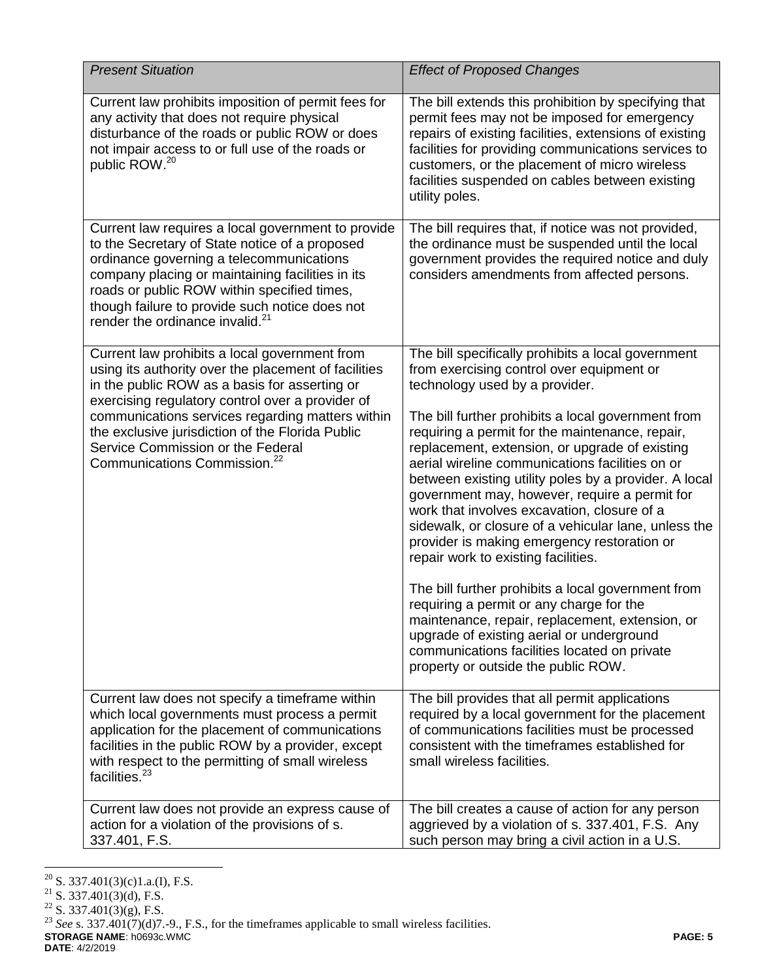| <b>Present Situation</b>                                                                                                                                                                                                                                                                                                                                                                            | <b>Effect of Proposed Changes</b>                                                                                                                                                                                                                                                                                                                                                                                                                                                                                                                                                                                                                                                                                                                                                                                                                                                                                                               |
|-----------------------------------------------------------------------------------------------------------------------------------------------------------------------------------------------------------------------------------------------------------------------------------------------------------------------------------------------------------------------------------------------------|-------------------------------------------------------------------------------------------------------------------------------------------------------------------------------------------------------------------------------------------------------------------------------------------------------------------------------------------------------------------------------------------------------------------------------------------------------------------------------------------------------------------------------------------------------------------------------------------------------------------------------------------------------------------------------------------------------------------------------------------------------------------------------------------------------------------------------------------------------------------------------------------------------------------------------------------------|
| Current law prohibits imposition of permit fees for<br>any activity that does not require physical<br>disturbance of the roads or public ROW or does<br>not impair access to or full use of the roads or<br>public ROW. <sup>20</sup>                                                                                                                                                               | The bill extends this prohibition by specifying that<br>permit fees may not be imposed for emergency<br>repairs of existing facilities, extensions of existing<br>facilities for providing communications services to<br>customers, or the placement of micro wireless<br>facilities suspended on cables between existing<br>utility poles.                                                                                                                                                                                                                                                                                                                                                                                                                                                                                                                                                                                                     |
| Current law requires a local government to provide<br>to the Secretary of State notice of a proposed<br>ordinance governing a telecommunications<br>company placing or maintaining facilities in its<br>roads or public ROW within specified times,<br>though failure to provide such notice does not<br>render the ordinance invalid. <sup>21</sup>                                                | The bill requires that, if notice was not provided,<br>the ordinance must be suspended until the local<br>government provides the required notice and duly<br>considers amendments from affected persons.                                                                                                                                                                                                                                                                                                                                                                                                                                                                                                                                                                                                                                                                                                                                       |
| Current law prohibits a local government from<br>using its authority over the placement of facilities<br>in the public ROW as a basis for asserting or<br>exercising regulatory control over a provider of<br>communications services regarding matters within<br>the exclusive jurisdiction of the Florida Public<br>Service Commission or the Federal<br>Communications Commission. <sup>22</sup> | The bill specifically prohibits a local government<br>from exercising control over equipment or<br>technology used by a provider.<br>The bill further prohibits a local government from<br>requiring a permit for the maintenance, repair,<br>replacement, extension, or upgrade of existing<br>aerial wireline communications facilities on or<br>between existing utility poles by a provider. A local<br>government may, however, require a permit for<br>work that involves excavation, closure of a<br>sidewalk, or closure of a vehicular lane, unless the<br>provider is making emergency restoration or<br>repair work to existing facilities.<br>The bill further prohibits a local government from<br>requiring a permit or any charge for the<br>maintenance, repair, replacement, extension, or<br>upgrade of existing aerial or underground<br>communications facilities located on private<br>property or outside the public ROW. |
| Current law does not specify a timeframe within<br>which local governments must process a permit<br>application for the placement of communications<br>facilities in the public ROW by a provider, except<br>with respect to the permitting of small wireless<br>facilities. <sup>23</sup>                                                                                                          | The bill provides that all permit applications<br>required by a local government for the placement<br>of communications facilities must be processed<br>consistent with the timeframes established for<br>small wireless facilities.                                                                                                                                                                                                                                                                                                                                                                                                                                                                                                                                                                                                                                                                                                            |
| Current law does not provide an express cause of<br>action for a violation of the provisions of s.<br>337.401, F.S.                                                                                                                                                                                                                                                                                 | The bill creates a cause of action for any person<br>aggrieved by a violation of s. 337.401, F.S. Any<br>such person may bring a civil action in a U.S.                                                                                                                                                                                                                                                                                                                                                                                                                                                                                                                                                                                                                                                                                                                                                                                         |

 $\overline{a}$  $^{20}$  S. 337.401(3)(c)1.a.(I), F.S.

 $21$  S. 337.401(3)(d), F.S.

 $^{22}$  S. 337.401(3)(g), F.S.

**STORAGE NAME**: h0693c.WMC **PAGE: 5** <sup>23</sup> *See* s. 337.401(7)(d)7.-9., F.S., for the timeframes applicable to small wireless facilities.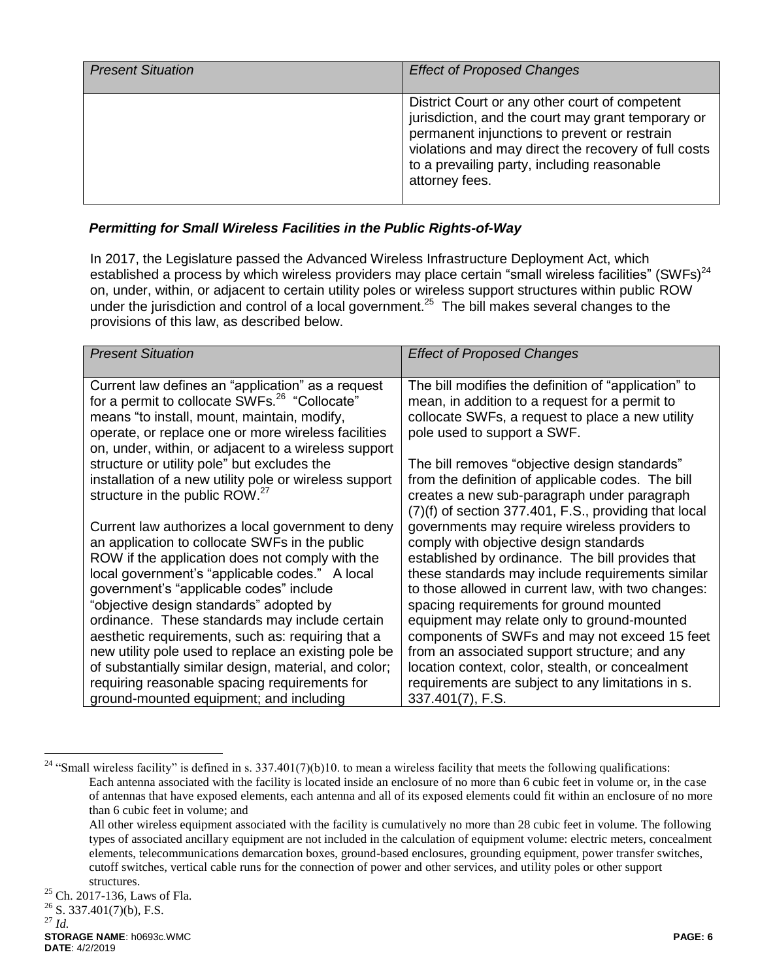| <b>Present Situation</b> | <b>Effect of Proposed Changes</b>                                                                                                                                                                                                                                             |
|--------------------------|-------------------------------------------------------------------------------------------------------------------------------------------------------------------------------------------------------------------------------------------------------------------------------|
|                          | District Court or any other court of competent<br>jurisdiction, and the court may grant temporary or<br>permanent injunctions to prevent or restrain<br>violations and may direct the recovery of full costs<br>to a prevailing party, including reasonable<br>attorney fees. |

# *Permitting for Small Wireless Facilities in the Public Rights-of-Way*

In 2017, the Legislature passed the Advanced Wireless Infrastructure Deployment Act, which established a process by which wireless providers may place certain "small wireless facilities" (SWFs) $^{24}$ on, under, within, or adjacent to certain utility poles or wireless support structures within public ROW under the jurisdiction and control of a local government.<sup>25</sup> The bill makes several changes to the provisions of this law, as described below.

| <b>Present Situation</b>                                                                                                                                                                                                                                                                                         | <b>Effect of Proposed Changes</b>                                                                                                                                                                                                                                                                |
|------------------------------------------------------------------------------------------------------------------------------------------------------------------------------------------------------------------------------------------------------------------------------------------------------------------|--------------------------------------------------------------------------------------------------------------------------------------------------------------------------------------------------------------------------------------------------------------------------------------------------|
| Current law defines an "application" as a request<br>for a permit to collocate SWFs. <sup>26</sup> "Collocate"<br>means "to install, mount, maintain, modify,<br>operate, or replace one or more wireless facilities<br>on, under, within, or adjacent to a wireless support                                     | The bill modifies the definition of "application" to<br>mean, in addition to a request for a permit to<br>collocate SWFs, a request to place a new utility<br>pole used to support a SWF.                                                                                                        |
| structure or utility pole" but excludes the<br>installation of a new utility pole or wireless support<br>structure in the public ROW. <sup>27</sup>                                                                                                                                                              | The bill removes "objective design standards"<br>from the definition of applicable codes. The bill<br>creates a new sub-paragraph under paragraph<br>(7)(f) of section 377.401, F.S., providing that local                                                                                       |
| Current law authorizes a local government to deny<br>an application to collocate SWFs in the public<br>ROW if the application does not comply with the<br>local government's "applicable codes." A local<br>government's "applicable codes" include<br>"objective design standards" adopted by                   | governments may require wireless providers to<br>comply with objective design standards<br>established by ordinance. The bill provides that<br>these standards may include requirements similar<br>to those allowed in current law, with two changes:<br>spacing requirements for ground mounted |
| ordinance. These standards may include certain<br>aesthetic requirements, such as: requiring that a<br>new utility pole used to replace an existing pole be<br>of substantially similar design, material, and color;<br>requiring reasonable spacing requirements for<br>ground-mounted equipment; and including | equipment may relate only to ground-mounted<br>components of SWFs and may not exceed 15 feet<br>from an associated support structure; and any<br>location context, color, stealth, or concealment<br>requirements are subject to any limitations in s.<br>337.401(7), F.S.                       |

 $\overline{a}$ 

<sup>&</sup>lt;sup>24</sup> "Small wireless facility" is defined in s. 337.401(7)(b)10. to mean a wireless facility that meets the following qualifications: Each antenna associated with the facility is located inside an enclosure of no more than 6 cubic feet in volume or, in the case of antennas that have exposed elements, each antenna and all of its exposed elements could fit within an enclosure of no more than 6 cubic feet in volume; and

All other wireless equipment associated with the facility is cumulatively no more than 28 cubic feet in volume. The following types of associated ancillary equipment are not included in the calculation of equipment volume: electric meters, concealment elements, telecommunications demarcation boxes, ground-based enclosures, grounding equipment, power transfer switches, cutoff switches, vertical cable runs for the connection of power and other services, and utility poles or other support structures.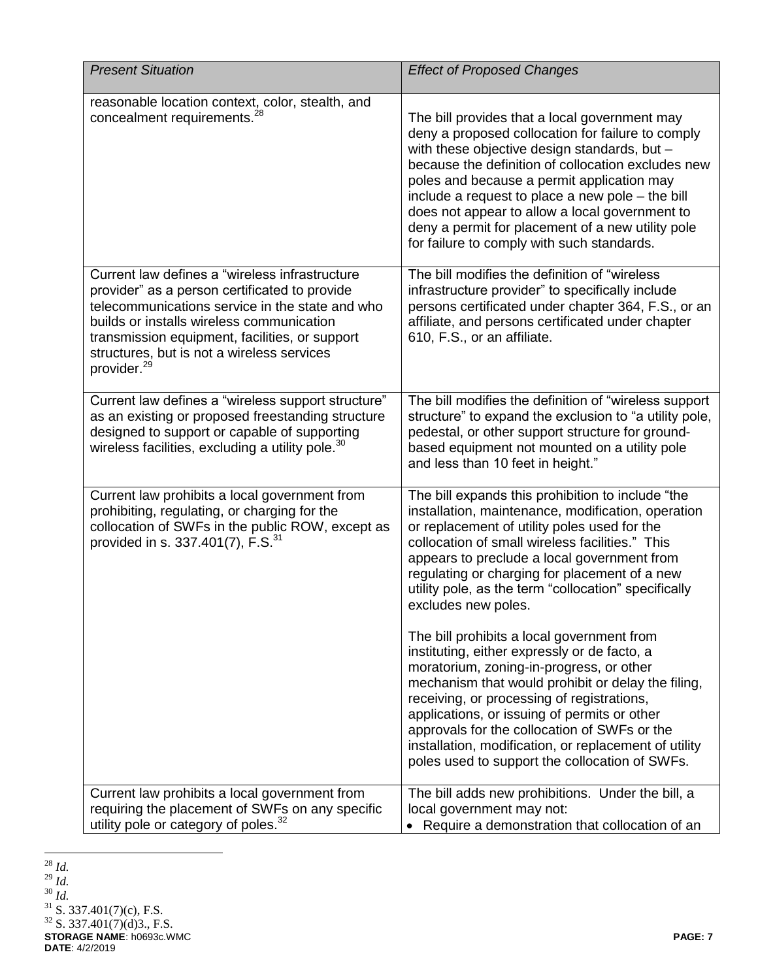| <b>Present Situation</b>                                                                                                                                                                                                                                                                                                   | <b>Effect of Proposed Changes</b>                                                                                                                                                                                                                                                                                                                                                                                                                               |
|----------------------------------------------------------------------------------------------------------------------------------------------------------------------------------------------------------------------------------------------------------------------------------------------------------------------------|-----------------------------------------------------------------------------------------------------------------------------------------------------------------------------------------------------------------------------------------------------------------------------------------------------------------------------------------------------------------------------------------------------------------------------------------------------------------|
| reasonable location context, color, stealth, and<br>concealment requirements. <sup>28</sup>                                                                                                                                                                                                                                | The bill provides that a local government may<br>deny a proposed collocation for failure to comply<br>with these objective design standards, but -<br>because the definition of collocation excludes new<br>poles and because a permit application may<br>include a request to place a new pole – the bill<br>does not appear to allow a local government to<br>deny a permit for placement of a new utility pole<br>for failure to comply with such standards. |
| Current law defines a "wireless infrastructure<br>provider" as a person certificated to provide<br>telecommunications service in the state and who<br>builds or installs wireless communication<br>transmission equipment, facilities, or support<br>structures, but is not a wireless services<br>provider. <sup>29</sup> | The bill modifies the definition of "wireless"<br>infrastructure provider" to specifically include<br>persons certificated under chapter 364, F.S., or an<br>affiliate, and persons certificated under chapter<br>610, F.S., or an affiliate.                                                                                                                                                                                                                   |
| Current law defines a "wireless support structure"<br>as an existing or proposed freestanding structure<br>designed to support or capable of supporting<br>wireless facilities, excluding a utility pole. <sup>30</sup>                                                                                                    | The bill modifies the definition of "wireless support<br>structure" to expand the exclusion to "a utility pole,<br>pedestal, or other support structure for ground-<br>based equipment not mounted on a utility pole<br>and less than 10 feet in height."                                                                                                                                                                                                       |
| Current law prohibits a local government from<br>prohibiting, regulating, or charging for the<br>collocation of SWFs in the public ROW, except as<br>provided in s. 337.401(7), F.S. $^{31}$                                                                                                                               | The bill expands this prohibition to include "the<br>installation, maintenance, modification, operation<br>or replacement of utility poles used for the<br>collocation of small wireless facilities." This<br>appears to preclude a local government from<br>regulating or charging for placement of a new<br>utility pole, as the term "collocation" specifically<br>excludes new poles.                                                                       |
|                                                                                                                                                                                                                                                                                                                            | The bill prohibits a local government from<br>instituting, either expressly or de facto, a<br>moratorium, zoning-in-progress, or other<br>mechanism that would prohibit or delay the filing,<br>receiving, or processing of registrations,<br>applications, or issuing of permits or other<br>approvals for the collocation of SWFs or the<br>installation, modification, or replacement of utility<br>poles used to support the collocation of SWFs.           |
| Current law prohibits a local government from<br>requiring the placement of SWFs on any specific<br>utility pole or category of poles. <sup>32</sup>                                                                                                                                                                       | The bill adds new prohibitions. Under the bill, a<br>local government may not:<br>• Require a demonstration that collocation of an                                                                                                                                                                                                                                                                                                                              |

 $\overline{a}$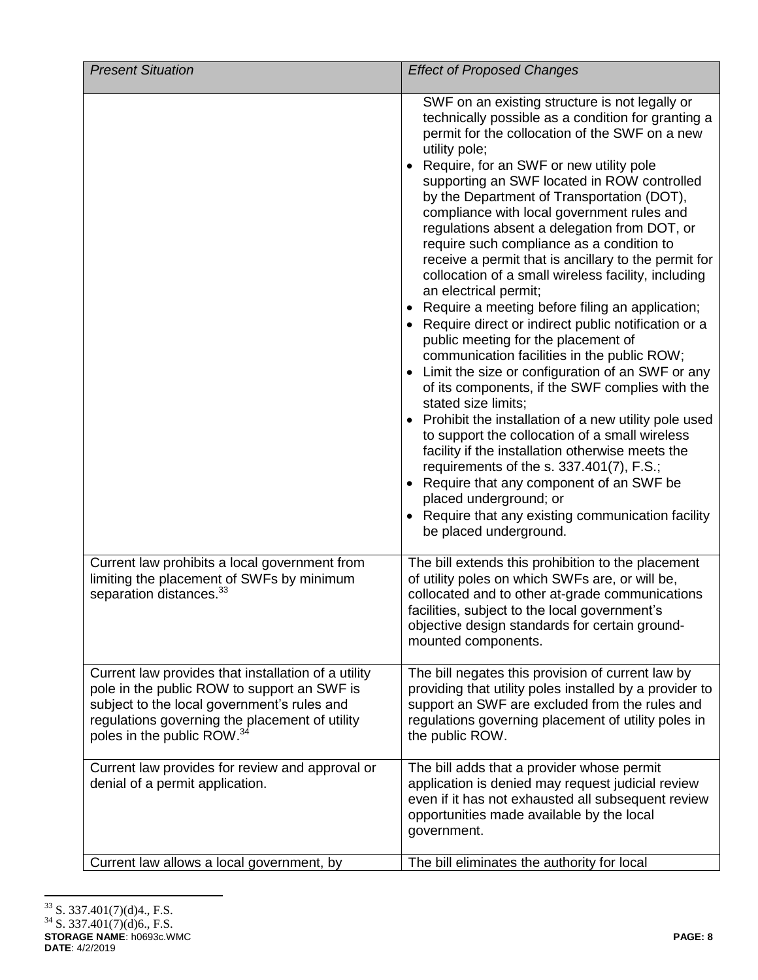| <b>Present Situation</b>                                                                                                                                                                                                                      | <b>Effect of Proposed Changes</b>                                                                                                                                                                                                                                                                                                                                                                                                                                                                                                                                                                                                                                                                                                                                                                                                                                                                                                                                                                                                                                                                                                                                                                                                                                                                 |
|-----------------------------------------------------------------------------------------------------------------------------------------------------------------------------------------------------------------------------------------------|---------------------------------------------------------------------------------------------------------------------------------------------------------------------------------------------------------------------------------------------------------------------------------------------------------------------------------------------------------------------------------------------------------------------------------------------------------------------------------------------------------------------------------------------------------------------------------------------------------------------------------------------------------------------------------------------------------------------------------------------------------------------------------------------------------------------------------------------------------------------------------------------------------------------------------------------------------------------------------------------------------------------------------------------------------------------------------------------------------------------------------------------------------------------------------------------------------------------------------------------------------------------------------------------------|
|                                                                                                                                                                                                                                               | SWF on an existing structure is not legally or<br>technically possible as a condition for granting a<br>permit for the collocation of the SWF on a new<br>utility pole;<br>Require, for an SWF or new utility pole<br>supporting an SWF located in ROW controlled<br>by the Department of Transportation (DOT),<br>compliance with local government rules and<br>regulations absent a delegation from DOT, or<br>require such compliance as a condition to<br>receive a permit that is ancillary to the permit for<br>collocation of a small wireless facility, including<br>an electrical permit;<br>Require a meeting before filing an application;<br>Require direct or indirect public notification or a<br>public meeting for the placement of<br>communication facilities in the public ROW;<br>Limit the size or configuration of an SWF or any<br>of its components, if the SWF complies with the<br>stated size limits;<br>Prohibit the installation of a new utility pole used<br>to support the collocation of a small wireless<br>facility if the installation otherwise meets the<br>requirements of the s. 337.401(7), F.S.;<br>• Require that any component of an SWF be<br>placed underground; or<br>• Require that any existing communication facility<br>be placed underground. |
| Current law prohibits a local government from<br>limiting the placement of SWFs by minimum<br>separation distances. <sup>33</sup>                                                                                                             | The bill extends this prohibition to the placement<br>of utility poles on which SWFs are, or will be,<br>collocated and to other at-grade communications<br>facilities, subject to the local government's<br>objective design standards for certain ground-<br>mounted components.                                                                                                                                                                                                                                                                                                                                                                                                                                                                                                                                                                                                                                                                                                                                                                                                                                                                                                                                                                                                                |
| Current law provides that installation of a utility<br>pole in the public ROW to support an SWF is<br>subject to the local government's rules and<br>regulations governing the placement of utility<br>poles in the public ROW. <sup>34</sup> | The bill negates this provision of current law by<br>providing that utility poles installed by a provider to<br>support an SWF are excluded from the rules and<br>regulations governing placement of utility poles in<br>the public ROW.                                                                                                                                                                                                                                                                                                                                                                                                                                                                                                                                                                                                                                                                                                                                                                                                                                                                                                                                                                                                                                                          |
| Current law provides for review and approval or<br>denial of a permit application.                                                                                                                                                            | The bill adds that a provider whose permit<br>application is denied may request judicial review<br>even if it has not exhausted all subsequent review<br>opportunities made available by the local<br>government.                                                                                                                                                                                                                                                                                                                                                                                                                                                                                                                                                                                                                                                                                                                                                                                                                                                                                                                                                                                                                                                                                 |
| Current law allows a local government, by                                                                                                                                                                                                     | The bill eliminates the authority for local                                                                                                                                                                                                                                                                                                                                                                                                                                                                                                                                                                                                                                                                                                                                                                                                                                                                                                                                                                                                                                                                                                                                                                                                                                                       |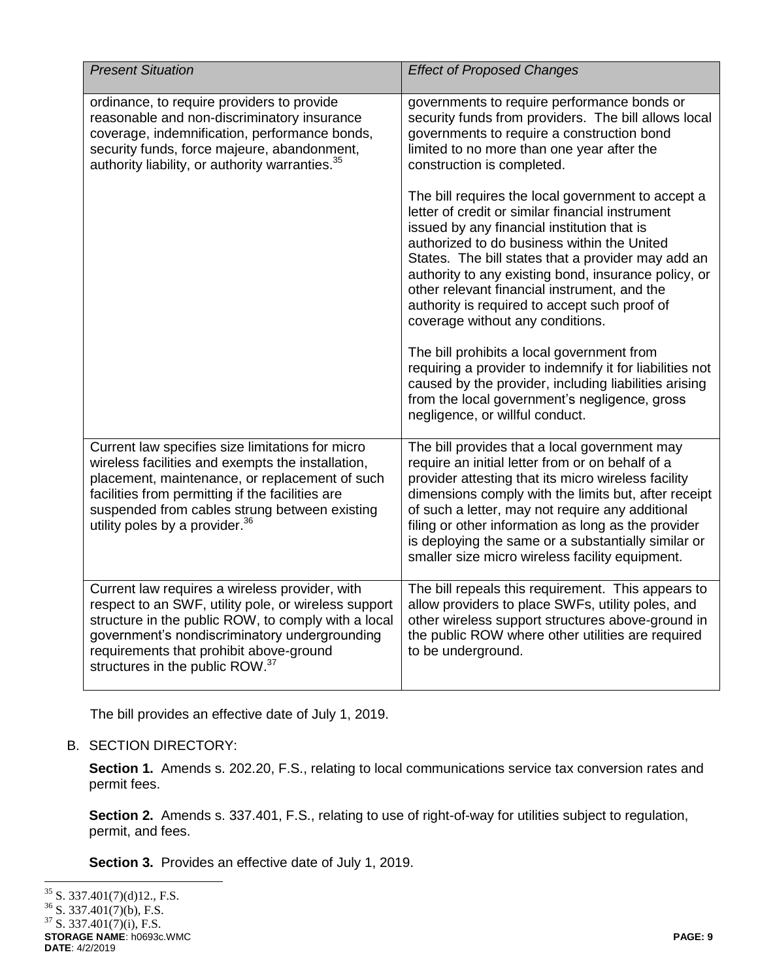| <b>Present Situation</b>                                                                                                                                                                                                                                                                                   | <b>Effect of Proposed Changes</b>                                                                                                                                                                                                                                                                                                                                                                                                                       |
|------------------------------------------------------------------------------------------------------------------------------------------------------------------------------------------------------------------------------------------------------------------------------------------------------------|---------------------------------------------------------------------------------------------------------------------------------------------------------------------------------------------------------------------------------------------------------------------------------------------------------------------------------------------------------------------------------------------------------------------------------------------------------|
| ordinance, to require providers to provide<br>reasonable and non-discriminatory insurance<br>coverage, indemnification, performance bonds,<br>security funds, force majeure, abandonment,<br>authority liability, or authority warranties. <sup>35</sup>                                                   | governments to require performance bonds or<br>security funds from providers. The bill allows local<br>governments to require a construction bond<br>limited to no more than one year after the<br>construction is completed.                                                                                                                                                                                                                           |
|                                                                                                                                                                                                                                                                                                            | The bill requires the local government to accept a<br>letter of credit or similar financial instrument<br>issued by any financial institution that is<br>authorized to do business within the United<br>States. The bill states that a provider may add an<br>authority to any existing bond, insurance policy, or<br>other relevant financial instrument, and the<br>authority is required to accept such proof of<br>coverage without any conditions. |
|                                                                                                                                                                                                                                                                                                            | The bill prohibits a local government from<br>requiring a provider to indemnify it for liabilities not<br>caused by the provider, including liabilities arising<br>from the local government's negligence, gross<br>negligence, or willful conduct.                                                                                                                                                                                                     |
| Current law specifies size limitations for micro<br>wireless facilities and exempts the installation,<br>placement, maintenance, or replacement of such<br>facilities from permitting if the facilities are<br>suspended from cables strung between existing<br>utility poles by a provider. <sup>36</sup> | The bill provides that a local government may<br>require an initial letter from or on behalf of a<br>provider attesting that its micro wireless facility<br>dimensions comply with the limits but, after receipt<br>of such a letter, may not require any additional<br>filing or other information as long as the provider<br>is deploying the same or a substantially similar or<br>smaller size micro wireless facility equipment.                   |
| Current law requires a wireless provider, with<br>respect to an SWF, utility pole, or wireless support<br>structure in the public ROW, to comply with a local<br>government's nondiscriminatory undergrounding<br>requirements that prohibit above-ground<br>structures in the public ROW. <sup>37</sup>   | The bill repeals this requirement. This appears to<br>allow providers to place SWFs, utility poles, and<br>other wireless support structures above-ground in<br>the public ROW where other utilities are required<br>to be underground.                                                                                                                                                                                                                 |

The bill provides an effective date of July 1, 2019.

# B. SECTION DIRECTORY:

**Section 1.** Amends s. 202.20, F.S., relating to local communications service tax conversion rates and permit fees.

**Section 2.** Amends s. 337.401, F.S., relating to use of right-of-way for utilities subject to regulation, permit, and fees.

**Section 3.** Provides an effective date of July 1, 2019.

**STORAGE NAME**: h0693c.WMC **PAGE: 9 DATE**: 4/2/2019  $\overline{a}$  $35$  S. 337.401(7)(d)12., F.S.  $36$  S. 337.401(7)(b), F.S.  $37$  S. 337.401(7)(i), F.S.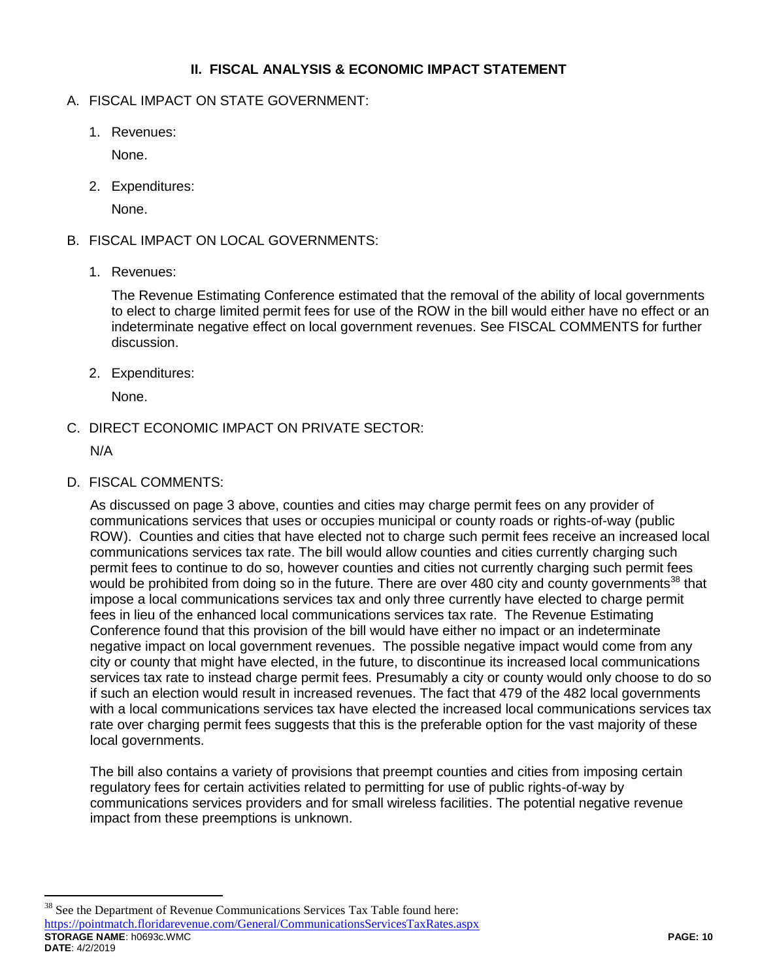### **II. FISCAL ANALYSIS & ECONOMIC IMPACT STATEMENT**

## A. FISCAL IMPACT ON STATE GOVERNMENT:

1. Revenues:

None.

2. Expenditures:

None.

# B. FISCAL IMPACT ON LOCAL GOVERNMENTS:

1. Revenues:

The Revenue Estimating Conference estimated that the removal of the ability of local governments to elect to charge limited permit fees for use of the ROW in the bill would either have no effect or an indeterminate negative effect on local government revenues. See FISCAL COMMENTS for further discussion.

2. Expenditures:

None.

C. DIRECT ECONOMIC IMPACT ON PRIVATE SECTOR:

N/A

 $\overline{a}$ 

D. FISCAL COMMENTS:

As discussed on page 3 above, counties and cities may charge permit fees on any provider of communications services that uses or occupies municipal or county roads or rights-of-way (public ROW). Counties and cities that have elected not to charge such permit fees receive an increased local communications services tax rate. The bill would allow counties and cities currently charging such permit fees to continue to do so, however counties and cities not currently charging such permit fees would be prohibited from doing so in the future. There are over 480 city and county governments<sup>38</sup> that impose a local communications services tax and only three currently have elected to charge permit fees in lieu of the enhanced local communications services tax rate. The Revenue Estimating Conference found that this provision of the bill would have either no impact or an indeterminate negative impact on local government revenues. The possible negative impact would come from any city or county that might have elected, in the future, to discontinue its increased local communications services tax rate to instead charge permit fees. Presumably a city or county would only choose to do so if such an election would result in increased revenues. The fact that 479 of the 482 local governments with a local communications services tax have elected the increased local communications services tax rate over charging permit fees suggests that this is the preferable option for the vast majority of these local governments.

The bill also contains a variety of provisions that preempt counties and cities from imposing certain regulatory fees for certain activities related to permitting for use of public rights-of-way by communications services providers and for small wireless facilities. The potential negative revenue impact from these preemptions is unknown.

**STORAGE NAME**: h0693c.WMC **PAGE: 10 DATE**: 4/2/2019 <sup>38</sup> See the Department of Revenue Communications Services Tax Table found here: <https://pointmatch.floridarevenue.com/General/CommunicationsServicesTaxRates.aspx>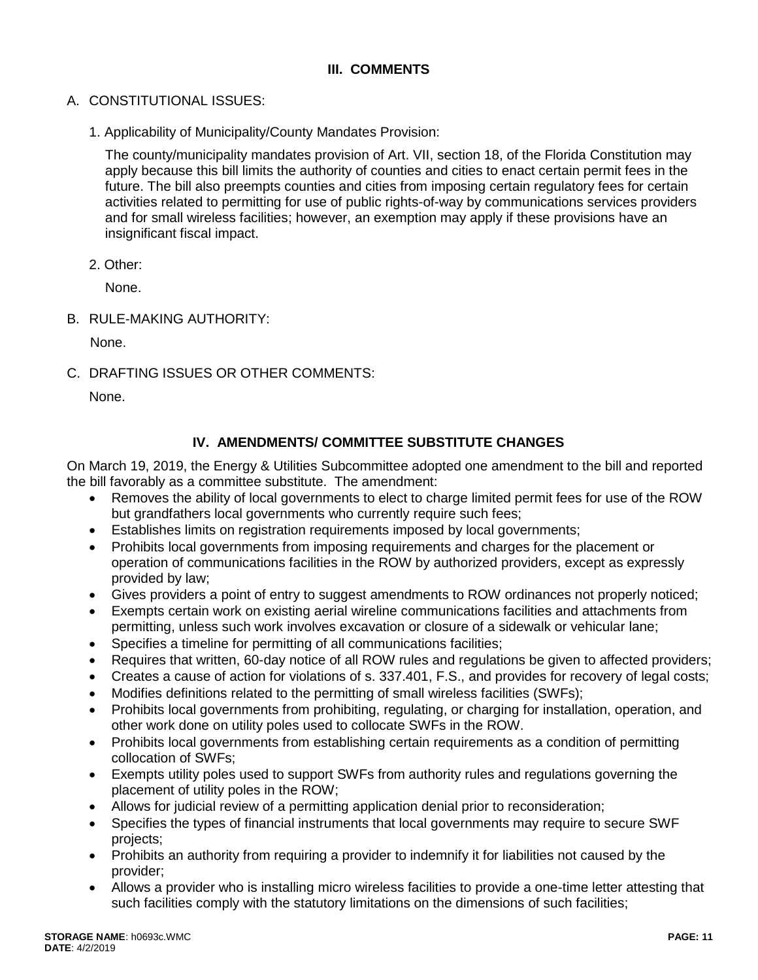# **III. COMMENTS**

- A. CONSTITUTIONAL ISSUES:
	- 1. Applicability of Municipality/County Mandates Provision:

The county/municipality mandates provision of Art. VII, section 18, of the Florida Constitution may apply because this bill limits the authority of counties and cities to enact certain permit fees in the future. The bill also preempts counties and cities from imposing certain regulatory fees for certain activities related to permitting for use of public rights-of-way by communications services providers and for small wireless facilities; however, an exemption may apply if these provisions have an insignificant fiscal impact.

2. Other:

None.

B. RULE-MAKING AUTHORITY:

None.

C. DRAFTING ISSUES OR OTHER COMMENTS:

None.

# **IV. AMENDMENTS/ COMMITTEE SUBSTITUTE CHANGES**

On March 19, 2019, the Energy & Utilities Subcommittee adopted one amendment to the bill and reported the bill favorably as a committee substitute. The amendment:

- Removes the ability of local governments to elect to charge limited permit fees for use of the ROW but grandfathers local governments who currently require such fees;
- Establishes limits on registration requirements imposed by local governments;
- Prohibits local governments from imposing requirements and charges for the placement or operation of communications facilities in the ROW by authorized providers, except as expressly provided by law;
- Gives providers a point of entry to suggest amendments to ROW ordinances not properly noticed;
- Exempts certain work on existing aerial wireline communications facilities and attachments from permitting, unless such work involves excavation or closure of a sidewalk or vehicular lane;
- Specifies a timeline for permitting of all communications facilities;
- Requires that written, 60-day notice of all ROW rules and regulations be given to affected providers;
- Creates a cause of action for violations of s. 337.401, F.S., and provides for recovery of legal costs;
- Modifies definitions related to the permitting of small wireless facilities (SWFs);
- Prohibits local governments from prohibiting, regulating, or charging for installation, operation, and other work done on utility poles used to collocate SWFs in the ROW.
- Prohibits local governments from establishing certain requirements as a condition of permitting collocation of SWFs;
- Exempts utility poles used to support SWFs from authority rules and regulations governing the placement of utility poles in the ROW;
- Allows for judicial review of a permitting application denial prior to reconsideration;
- Specifies the types of financial instruments that local governments may require to secure SWF projects;
- Prohibits an authority from requiring a provider to indemnify it for liabilities not caused by the provider;
- Allows a provider who is installing micro wireless facilities to provide a one-time letter attesting that such facilities comply with the statutory limitations on the dimensions of such facilities;